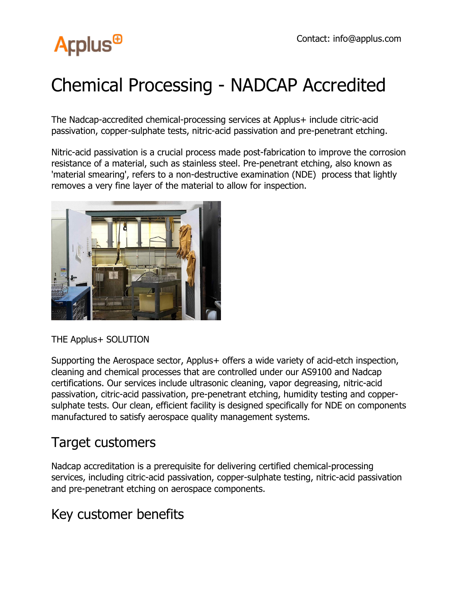# **Arplus<sup>®</sup>**

## Chemical Processing - NADCAP Accredited

The Nadcap-accredited chemical-processing services at Applus+ include citric-acid passivation, copper-sulphate tests, nitric-acid passivation and pre-penetrant etching.

Nitric-acid passivation is a crucial process made post-fabrication to improve the corrosion resistance of a material, such as stainless steel. Pre-penetrant etching, also known as 'material smearing', refers to a non-destructive examination (NDE) process that lightly removes a very fine layer of the material to allow for inspection.



#### THE Applus+ SOLUTION

Supporting the Aerospace sector, Applus + offers a wide variety of acid-etch inspection, cleaning and chemical processes that are controlled under our AS9100 and Nadcap certifications. Our services include ultrasonic cleaning, vapor degreasing, nitric-acid passivation, citric-acid passivation, pre-penetrant etching, humidity testing and coppersulphate tests. Our clean, efficient facility is designed specifically for NDE on components manufactured to satisfy aerospace quality management systems.

### Target customers

Nadcap accreditation is a prerequisite for delivering certified chemical-processing services, including citric-acid passivation, copper-sulphate testing, nitric-acid passivation and pre-penetrant etching on aerospace components.

## Key customer benefits